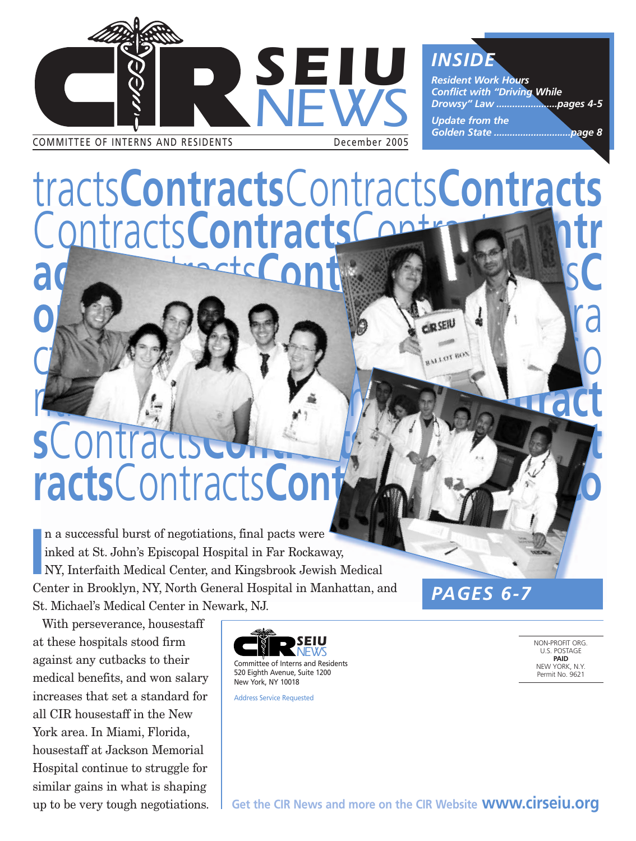

tracts**Contracts**Contracts**Contracts** Contracts**Contracts**Contracts**Contr acts**Contracts**Contracts**Contracts**C**

**ontractsContracts**Contracts

CONTRACTER Contracts

# ntracts**Contracts**Contracts**Contract s**Contra **racts**Contracts**Contracts**Contracts**Co**

**I**<br> **I**<br> **C** n a successful burst of negotiations, final pacts were inked at St. John's Episcopal Hospital in Far Rockaway, NY, Interfaith Medical Center, and Kingsbrook Jewish Medical Center in Brooklyn, NY, North General Hospital in Manhattan, and St. Michael's Medical Center in Newark, NJ.

With perseverance, housestaff at these hospitals stood firm against any cutbacks to their medical benefits, and won salary increases that set a standard for all CIR housestaff in the New York area. In Miami, Florida, housestaff at Jackson Memorial Hospital continue to struggle for similar gains in what is shaping up to be very tough negotiations.



Address Service Requested

*PAGES 6-7*

NON-PROFIT ORG. U.S. POSTAGE **PAID** NEW YORK, N.Y. Permit No. 9621

**Get the CIR News and more on the CIR Website www.cirseiu.org**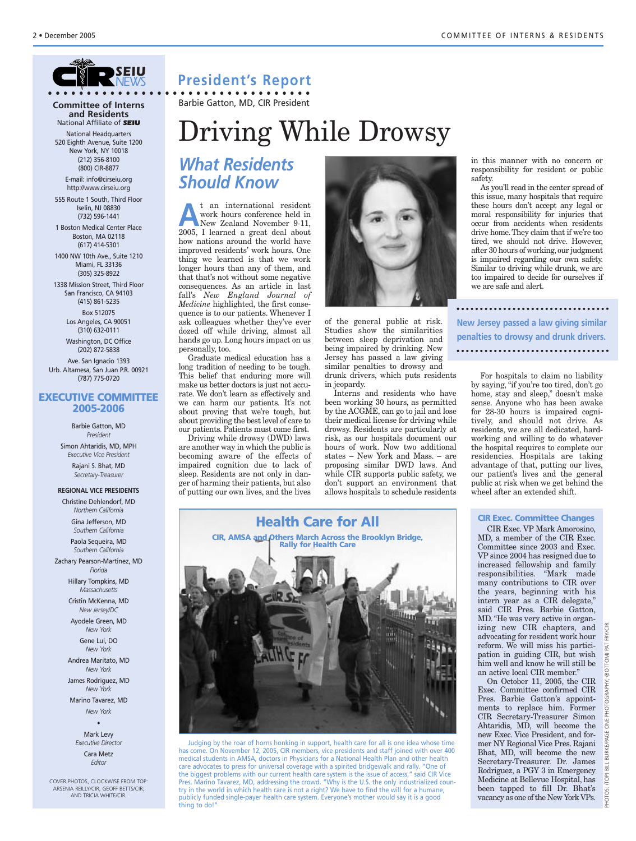

**Committee of Interns and Residents** National Affiliate of *SEIU*

National Headquarters 520 Eighth Avenue, Suite 1200 New York, NY 10018 (212) 356-8100 (800) CIR-8877

E-mail: info@cirseiu.org http://www.cirseiu.org

555 Route 1 South, Third Floor Iselin, NJ 08830 (732) 596-1441

1 Boston Medical Center Place Boston, MA 02118 (617) 414-5301

1400 NW 10th Ave., Suite 1210 Miami, FL 33136 (305) 325-8922

1338 Mission Street, Third Floor San Francisco, CA 94103 (415) 861-5235 Box 512075 Los Angeles, CA 90051

> (310) 632-0111 Washington, DC Office (202) 872-5838

Ave. San Ignacio 1393 Urb. Altamesa, San Juan P.R. 00921

(787) 775-0720

### **EXECUTIVE COMMITTEE 2005-2006**

Barbie Gatton, MD *President* Simon Ahtaridis, MD, MPH *Executive Vice President* Rajani S. Bhat, MD *Secretary-Treasurer*

**REGIONAL VICE PRESIDENTS**

Christine Dehlendorf, MD *Northern California*

Gina Jefferson, MD *Southern California*

Paola Sequeira, MD *Southern California*

Zachary Pearson-Martinez, MD *Florida*

> Hillary Tompkins, MD *Massachusetts*

Cristin McKenna, MD *New Jersey/DC*

Ayodele Green, MD *New York*

> Gene Lui, DO *New York*

Andrea Maritato, MD *New York*

James Rodriguez, MD *New York*

Marino Tavarez, MD *New York*

•

Mark Levy *Executive Director* Cara Metz *Editor*

COVER PHOTOS, CLOCKWISE FROM TOP: ARSENIA REILLY/CIR; GEOFF BETTS/CIR; AND TRICIA WHITE/CIR.

## **President's Report**

**• • • • • • • • • • • • • • • • • • • • • • • • • • • • • • • • • •** Barbie Gatton, MD, CIR President

# Driving While Drowsy

## *What Residents Should Know*

**A**t an international resident<br>
New Zealand November 9-11,<br>
2005 I learned a great deal shout work hours conference held in 2005, I learned a great deal about how nations around the world have improved residents' work hours. One thing we learned is that we work longer hours than any of them, and that that's not without some negative consequences. As an article in last fall's *New England Journal of Medicine* highlighted, the first consequence is to our patients. Whenever I ask colleagues whether they've ever dozed off while driving, almost all hands go up. Long hours impact on us personally, too.

Graduate medical education has a long tradition of needing to be tough. This belief that enduring more will make us better doctors is just not accurate. We don't learn as effectively and we can harm our patients. It's not about proving that we're tough, but about providing the best level of care to our patients. Patients must come first.

Driving while drowsy (DWD) laws are another way in which the public is becoming aware of the effects of impaired cognition due to lack of sleep. Residents are not only in danger of harming their patients, but also of putting our own lives, and the lives



of the general public at risk. Studies show the similarities between sleep deprivation and being impaired by drinking. New Jersey has passed a law giving similar penalties to drowsy and drunk drivers, which puts residents in jeopardy.

Interns and residents who have been working 30 hours, as permitted by the ACGME, can go to jail and lose their medical license for driving while drowsy. Residents are particularly at risk, as our hospitals document our hours of work. Now two additional states – New York and Mass. – are proposing similar DWD laws. And while CIR supports public safety, we don't support an environment that allows hospitals to schedule residents

in this manner with no concern or responsibility for resident or public safety.

As you'll read in the center spread of this issue, many hospitals that require these hours don't accept any legal or moral responsibility for injuries that occur from accidents when residents drive home. They claim that if we're too tired, we should not drive. However, after 30 hours of working, our judgment is impaired regarding our own safety. Similar to driving while drunk, we are too impaired to decide for ourselves if we are safe and alert.

**New Jersey passed a law giving similar penalties to drowsy and drunk drivers.** 

For hospitals to claim no liability by saying, "if you're too tired, don't go home, stay and sleep," doesn't make sense. Anyone who has been awake for 28-30 hours is impaired cognitively, and should not drive. As residents, we are all dedicated, hardworking and willing to do whatever the hospital requires to complete our residencies. Hospitals are taking advantage of that, putting our lives, our patient's lives and the general public at risk when we get behind the wheel after an extended shift.

#### **CIR Exec. Committee Changes**

CIR Exec. VP Mark Amorosino, MD, a member of the CIR Exec. Committee since 2003 and Exec. VP since 2004 has resigned due to increased fellowship and family responsibilities. "Mark made many contributions to CIR over the years, beginning with his intern year as a CIR delegate," said CIR Pres. Barbie Gatton, MD. "He was very active in organizing new CIR chapters, and advocating for resident work hour reform. We will miss his participation in guiding CIR, but wish him well and know he will still be an active local CIR member."

On October 11, 2005, the CIR Exec. Committee confirmed CIR Pres. Barbie Gatton's appointments to replace him. Former CIR Secretary-Treasurer Simon Ahtaridis, MD, will become the new Exec. Vice President, and former NY Regional Vice Pres. Rajani Bhat, MD, will become the new Secretary-Treasurer. Dr. James Rodriguez, a PGY 3 in Emergency Medicine at Bellevue Hospital, has been tapped to fill Dr. Bhat's vacancy as one of the New York VPs.

## **Health Care for All CIR, AMSA and Others March Across the Brooklyn Bridge,**



Judging by the roar of horns honking in support, health care for all is one idea whose time has come. On November 12, 2005, CIR members, vice presidents and staff joined with over 400 medical students in AMSA, doctors in Physicians for a National Health Plan and other health care advocates to press for universal coverage with a spirited bridgewalk and rally. "One of the biggest problems with our current health care system is the issue of access," said CIR Vice Pres. Marino Tavarez, MD, addressing the crowd. "Why is the U.S. the only industrialized country in the world in which health care is not a right? We have to find the will for a humane, publicly funded single-payer health care system. Everyone's mother would say it is a good thing to do!"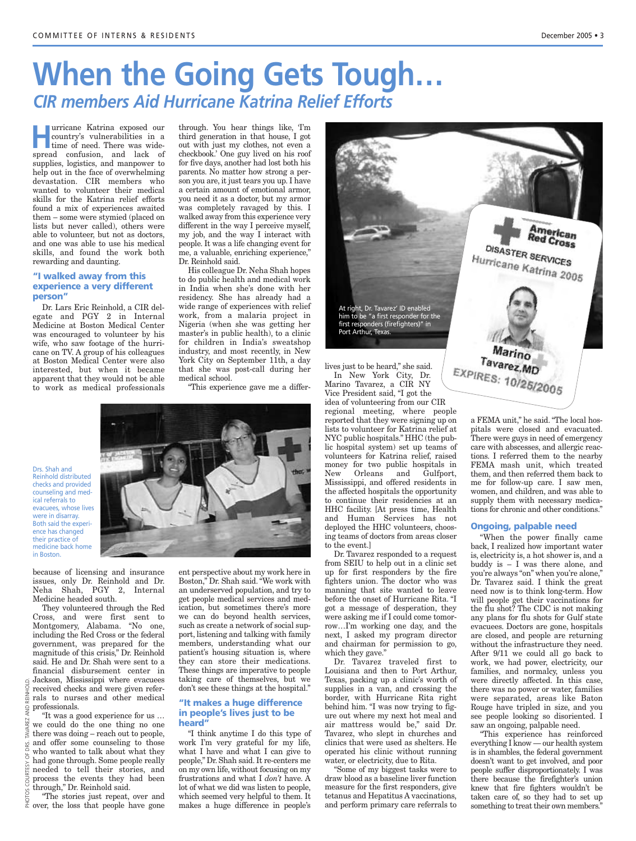# **When the Going Gets Tough…** *CIR members Aid Hurricane Katrina Relief Efforts*

**Hurricane Katrina exposed our country's vulnerabilities in a time of need. There was wide**country's vulnerabilities in a time of need. There was widespread confusion, and lack of supplies, logistics, and manpower to help out in the face of overwhelming devastation. CIR members who wanted to volunteer their medical skills for the Katrina relief efforts found a mix of experiences awaited them – some were stymied (placed on lists but never called), others were able to volunteer, but not as doctors, and one was able to use his medical skills, and found the work both rewarding and daunting.

#### **"I walked away from this experience a very different person"**

Dr. Lars Eric Reinhold, a CIR delegate and PGY 2 in Internal Medicine at Boston Medical Center was encouraged to volunteer by his wife, who saw footage of the hurricane on TV. A group of his colleagues at Boston Medical Center were also interested, but when it became apparent that they would not be able to work as medical professionals

through. You hear things like, 'I'm third generation in that house, I got out with just my clothes, not even a checkbook.' One guy lived on his roof for five days, another had lost both his parents. No matter how strong a person you are, it just tears you up. I have a certain amount of emotional armor, you need it as a doctor, but my armor was completely ravaged by this. I walked away from this experience very different in the way I perceive myself, my job, and the way I interact with people. It was a life changing event for me, a valuable, enriching experience," Dr. Reinhold said.

His colleague Dr. Neha Shah hopes to do public health and medical work in India when she's done with her residency. She has already had a wide range of experiences with relief work, from a malaria project in Nigeria (when she was getting her master's in public health), to a clinic for children in India's sweatshop industry, and most recently, in New York City on September 11th, a day that she was post-call during her medical school.

"This experience gave me a differ-



Drs. Shah and Reinhold distributed checks and provided counseling and medical referrals to evacuees, whose lives were in disarray. Both said the experience has changed their practice of medicine back home in Boston.



They volunteered through the Red Cross, and were first sent to Montgomery, Alabama. "No one, including the Red Cross or the federal government, was prepared for the magnitude of this crisis," Dr. Reinhold said. He and Dr. Shah were sent to a financial disbursement center in Jackson, Mississippi where evacuees received checks and were given referrals to nurses and other medical professionals.

"The stories just repeat, over and over, the loss that people have gone PHOTOS

ent perspective about my work here in Boston," Dr. Shah said. "We work with an underserved population, and try to get people medical services and medication, but sometimes there's more we can do beyond health services, such as create a network of social support, listening and talking with family members, understanding what our patient's housing situation is, where they can store their medications. These things are imperative to people taking care of themselves, but we don't see these things at the hospital."

#### **"It makes a huge difference in people's lives just to be heard"**

"I think anytime I do this type of work I'm very grateful for my life, what I have and what I can give to people," Dr. Shah said. It re-centers me on my own life, without focusing on my frustrations and what I *don't* have. A lot of what we did was listen to people, which seemed very helpful to them. It



Vice President said, "I got the idea of volunteering from our CIR regional meeting, where people reported that they were signing up on lists to volunteer for Katrina relief at NYC public hospitals." HHC (the public hospital system) set up teams of volunteers for Katrina relief, raised money for two public hospitals in New Orleans and Gulfport, Mississippi, and offered residents in the affected hospitals the opportunity to continue their residencies at an HHC facility. [At press time, Health and Human Services has not deployed the HHC volunteers, choosing teams of doctors from areas closer

to the event.] Dr. Tavarez responded to a request from SEIU to help out in a clinic set up for first responders by the fire fighters union. The doctor who was manning that site wanted to leave before the onset of Hurricane Rita. "I got a message of desperation, they were asking me if I could come tomorrow…I'm working one day, and the next, I asked my program director and chairman for permission to go, which they gave."

Dr. Tavarez traveled first to Louisiana and then to Port Arthur, Texas, packing up a clinic's worth of supplies in a van, and crossing the border, with Hurricane Rita right behind him. "I was now trying to figure out where my next hot meal and air mattress would be," said Dr. Tavarez, who slept in churches and clinics that were used as shelters. He operated his clinic without running water, or electricity, due to Rita.

"Some of my biggest tasks were to draw blood as a baseline liver function measure for the first responders, give tetanus and Hepatitus A vaccinations, and perform primary care referrals to a FEMA unit," he said. "The local hospitals were closed and evacuated. There were guys in need of emergency care with abscesses, and allergic reactions. I referred them to the nearby FEMA mash unit, which treated them, and then referred them back to me for follow-up care. I saw men, women, and children, and was able to supply them with necessary medications for chronic and other conditions."

#### **Ongoing, palpable need**

"When the power finally came back, I realized how important water is, electricity is, a hot shower is, and a buddy is – I was there alone, and you're always "on" when you're alone," Dr. Tavarez said. I think the great need now is to think long-term. How will people get their vaccinations for the flu shot? The CDC is not making any plans for flu shots for Gulf state evacuees. Doctors are gone, hospitals are closed, and people are returning without the infrastructure they need. After 9/11 we could all go back to work, we had power, electricity, our families, and normalcy, unless you were directly affected. In this case, there was no power or water, families were separated, areas like Baton Rouge have tripled in size, and you see people looking so disoriented. I saw an ongoing, palpable need.

"This experience has reinforced everything I know — our health system is in shambles, the federal government doesn't want to get involved, and poor people suffer disproportionately. I was there because the firefighter's union knew that fire fighters wouldn't be taken care of, so they had to set up something to treat their own members."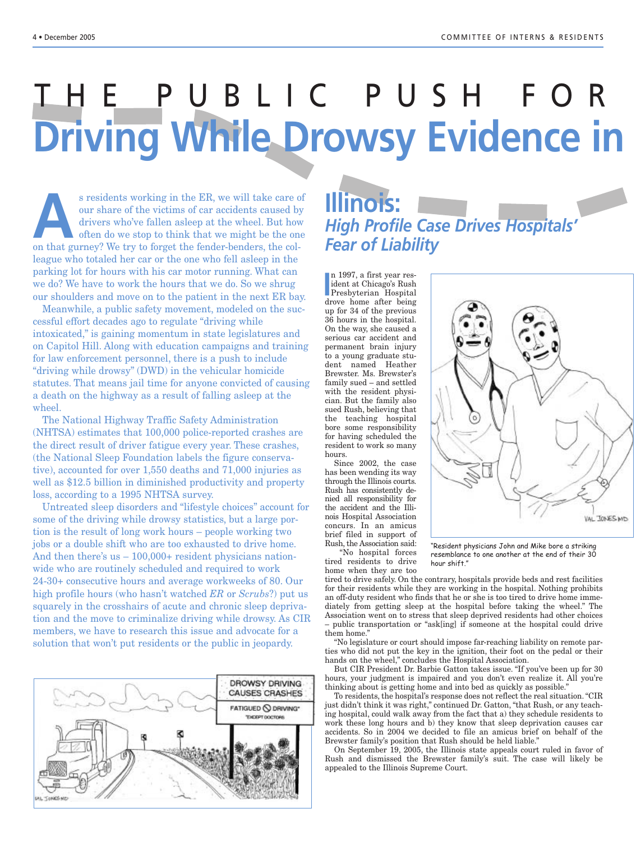# THE PUBLIC PUSH FOR **Driving While Drowsy Evidence in**

s residents working in the ER, we will take care of<br>our share of the victims of car accidents caused by<br>drivers who've fallen asleep at the wheel. But how<br>often do we stop to think that we might be the one<br>on that gurney? our share of the victims of car accidents caused by drivers who've fallen asleep at the wheel. But how often do we stop to think that we might be the one on that gurney? We try to forget the fender-benders, the colleague who totaled her car or the one who fell asleep in the parking lot for hours with his car motor running. What can we do? We have to work the hours that we do. So we shrug our shoulders and move on to the patient in the next ER bay.

Meanwhile, a public safety movement, modeled on the successful effort decades ago to regulate "driving while intoxicated," is gaining momentum in state legislatures and on Capitol Hill. Along with education campaigns and training for law enforcement personnel, there is a push to include "driving while drowsy" (DWD) in the vehicular homicide statutes. That means jail time for anyone convicted of causing a death on the highway as a result of falling asleep at the wheel.

The National Highway Traffic Safety Administration (NHTSA) estimates that 100,000 police-reported crashes are the direct result of driver fatigue every year. These crashes, (the National Sleep Foundation labels the figure conservative), accounted for over 1,550 deaths and 71,000 injuries as well as \$12.5 billion in diminished productivity and property loss, according to a 1995 NHTSA survey.

Untreated sleep disorders and "lifestyle choices" account for some of the driving while drowsy statistics, but a large portion is the result of long work hours – people working two jobs or a double shift who are too exhausted to drive home. And then there's us – 100,000+ resident physicians nationwide who are routinely scheduled and required to work 24-30+ consecutive hours and average workweeks of 80. Our high profile hours (who hasn't watched *ER* or *Scrubs*?) put us squarely in the crosshairs of acute and chronic sleep deprivation and the move to criminalize driving while drowsy. As CIR members, we have to research this issue and advocate for a solution that won't put residents or the public in jeopardy.



# **Illinois:** *High Profile Case Drives Hospitals' Fear of Liability*

n 1997, a first year res-<br>
ident at Chicago's Rush<br>
Presbyterian Hospital<br>
days home ofter heing n 1997, a first year resident at Chicago's Rush drove home after being up for 34 of the previous 36 hours in the hospital. On the way, she caused a serious car accident and permanent brain injury to a young graduate student named Heather Brewster. Ms. Brewster's family sued – and settled with the resident physician. But the family also sued Rush, believing that the teaching hospital bore some responsibility for having scheduled the resident to work so many hours.

Since 2002, the case has been wending its way through the Illinois courts. Rush has consistently denied all responsibility for the accident and the Illinois Hospital Association concurs. In an amicus brief filed in support of Rush, the Association said: "No hospital forces

tired residents to drive home when they are too



"Resident physicians John and Mike bore a striking resemblance to one another at the end of their 30 hour shift."

tired to drive safely. On the contrary, hospitals provide beds and rest facilities for their residents while they are working in the hospital. Nothing prohibits an off-duty resident who finds that he or she is too tired to drive home immediately from getting sleep at the hospital before taking the wheel." The Association went on to stress that sleep deprived residents had other choices – public transportation or "ask[ing] if someone at the hospital could drive them home."

"No legislature or court should impose far-reaching liability on remote parties who did not put the key in the ignition, their foot on the pedal or their hands on the wheel," concludes the Hospital Association.

But CIR President Dr. Barbie Gatton takes issue. "If you've been up for 30 hours, your judgment is impaired and you don't even realize it. All you're thinking about is getting home and into bed as quickly as possible."

To residents, the hospital's response does not reflect the real situation. "CIR just didn't think it was right," continued Dr. Gatton, "that Rush, or any teaching hospital, could walk away from the fact that a) they schedule residents to work these long hours and b) they know that sleep deprivation causes car accidents. So in 2004 we decided to file an amicus brief on behalf of the Brewster family's position that Rush should be held liable."

On September 19, 2005, the Illinois state appeals court ruled in favor of Rush and dismissed the Brewster family's suit. The case will likely be appealed to the Illinois Supreme Court.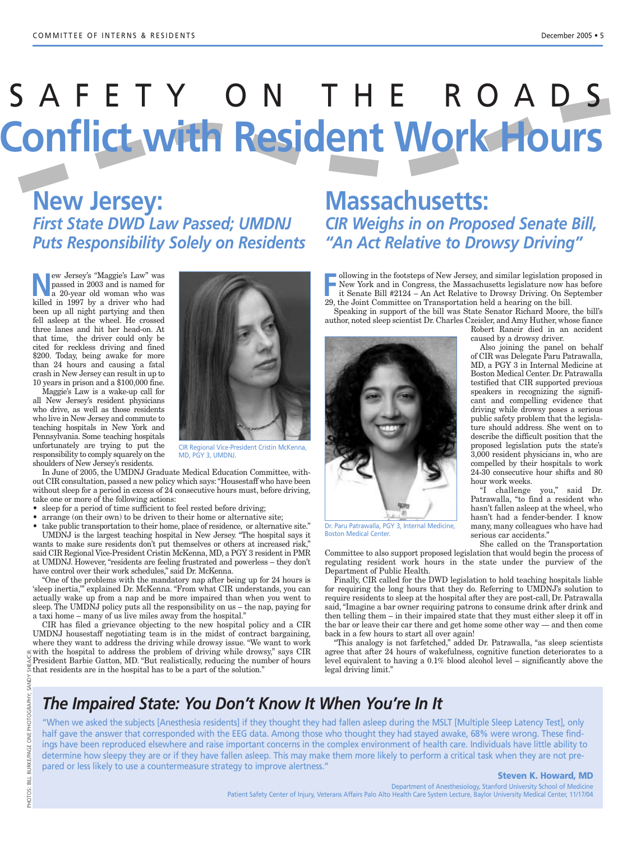# SAFETY ON THE ROADS **Conflict with Resident Work Hours**

**New Jersey:** *First State DWD Law Passed; UMDNJ*

**Example 19** and this properation and the same of the and the annot the same different and the same of the same of the same of the same of the same of the same of the same of the same of the same of the same of the same of passed in 2003 and is named for a 20-year old woman who was killed in 1997 by a driver who had been up all night partying and then fell asleep at the wheel. He crossed three lanes and hit her head-on. At that time, the driver could only be cited for reckless driving and fined \$200. Today, being awake for more than 24 hours and causing a fatal crash in New Jersey can result in up to 10 years in prison and a \$100,000 fine.

Maggie's Law is a wake-up call for all New Jersey's resident physicians who drive, as well as those residents who live in New Jersey and commute to teaching hospitals in New York and Pennsylvania. Some teaching hospitals unfortunately are trying to put the responsibility to comply squarely on the shoulders of New Jersey's residents.

CIR Regional Vice-President Cristin McKenna, MD, PGY 3, UMDNJ.

In June of 2005, the UMDNJ Graduate Medical Education Committee, without CIR consultation, passed a new policy which says:"Housestaff who have been without sleep for a period in excess of 24 consecutive hours must, before driving, take one or more of the following actions:

- sleep for a period of time sufficient to feel rested before driving;
- arrange (on their own) to be driven to their home or alternative site;
- take public transportation to their home, place of residence, or alternative site."

UMDNJ is the largest teaching hospital in New Jersey. "The hospital says it wants to make sure residents don't put themselves or others at increased risk," said CIR Regional Vice-President Cristin McKenna, MD, a PGY 3 resident in PMR at UMDNJ. However, "residents are feeling frustrated and powerless – they don't have control over their work schedules," said Dr. McKenna.

"One of the problems with the mandatory nap after being up for 24 hours is 'sleep inertia,'" explained Dr. McKenna. "From what CIR understands, you can actually wake up from a nap and be more impaired than when you went to sleep. The UMDNJ policy puts all the responsibility on us – the nap, paying for a taxi home – many of us live miles away from the hospital."

CIR has filed a grievance objecting to the new hospital policy and a CIR UMDNJ housestaff negotiating team is in the midst of contract bargaining, where they want to address the driving while drowsy issue. "We want to work  $\approx$  with the hospital to address the problem of driving while drowsy," says CIR President Barbie Gatton, MD. "But realistically, reducing the number of hours that residents are in the hospital has to be a part of the solution."

## *Puts Responsibility Solely on Residents "An Act Relative to Drowsy Driving"* **Massachusetts:** *CIR Weighs in on Proposed Senate Bill,*

Following in the footsteps of New Jersey, and similar legislation proposed in<br>
FREE Senate Bill #2124 – An Act Relative to Drowsy Driving. On September<br>
<sup>20</sup> the Joint Committee on Transportation held a begring on the bill New York and in Congress, the Massachusetts legislature now has before it Senate Bill #2124 – An Act Relative to Drowsy Driving. On September 29, the Joint Committee on Transportation held a hearing on the bill.

Speaking in support of the bill was State Senator Richard Moore, the bill's author, noted sleep scientist Dr. Charles Czeisler, and Amy Huther, whose fiance

Robert Raneir died in an accident caused by a drowsy driver.

Also joining the panel on behalf of CIR was Delegate Paru Patrawalla, MD, a PGY 3 in Internal Medicine at Boston Medical Center. Dr. Patrawalla testified that CIR supported previous speakers in recognizing the significant and compelling evidence that driving while drowsy poses a serious public safety problem that the legislature should address. She went on to describe the difficult position that the proposed legislation puts the state's 3,000 resident physicians in, who are compelled by their hospitals to work 24-30 consecutive hour shifts and 80 hour work weeks.

"I challenge you," said Dr. Patrawalla, "to find a resident who hasn't fallen asleep at the wheel, who hasn't had a fender-bender. I know many, many colleagues who have had serious car accidents."

She called on the Transportation

Committee to also support proposed legislation that would begin the process of regulating resident work hours in the state under the purview of the Department of Public Health.

Finally, CIR called for the DWD legislation to hold teaching hospitals liable for requiring the long hours that they do. Referring to UMDNJ's solution to require residents to sleep at the hospital after they are post-call, Dr. Patrawalla said, "Imagine a bar owner requiring patrons to consume drink after drink and then telling them – in their impaired state that they must either sleep it off in the bar or leave their car there and get home some other way — and then come back in a few hours to start all over again!

"This analogy is not farfetched," added Dr. Patrawalla, "as sleep scientists agree that after 24 hours of wakefulness, cognitive function deteriorates to a level equivalent to having a 0.1% blood alcohol level – significantly above the legal driving limit."



"When we asked the subjects [Anesthesia residents] if they thought they had fallen asleep during the MSLT [Multiple Sleep Latency Test], only half gave the answer that corresponded with the EEG data. Among those who thought they had stayed awake, 68% were wrong. These findings have been reproduced elsewhere and raise important concerns in the complex environment of health care. Individuals have little ability to determine how sleepy they are or if they have fallen asleep. This may make them more likely to perform a critical task when they are not prepared or less likely to use a countermeasure strategy to improve alertness."

#### **Steven K. Howard, MD**

Department of Anesthesiology, Stanford University School of Medicine Patient Safety Center of Injury, Veterans Affairs Palo Alto Health Care System Lecture, Baylor University Medical Center, 11/17/04



Boston Medical Center.

Dr. Paru Patrawalla, PGY 3, Internal Medicine,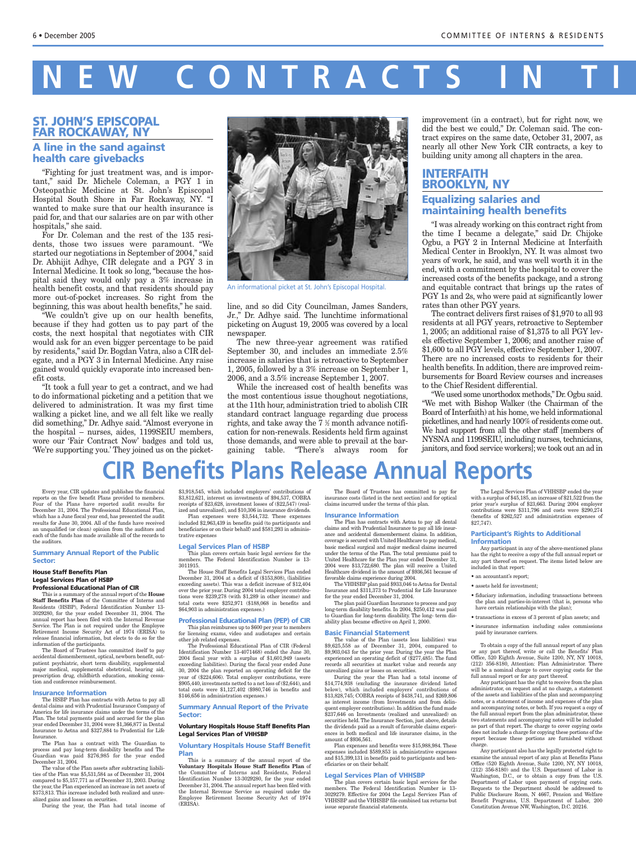# $\overline{C}$  ONTRACTS

### **ST. JOHN'S EPISCOPAL FAR ROCKAWAY, NY**

### **A line in the sand against health care givebacks**

"Fighting for just treatment was, and is important," said Dr. Michele Coleman, a PGY 1 in Osteopathic Medicine at St. John's Episcopal Hospital South Shore in Far Rockaway, NY. "I wanted to make sure that our health insurance is paid for, and that our salaries are on par with other hospitals," she said.

For Dr. Coleman and the rest of the 135 residents, those two issues were paramount. "We started our negotiations in September of 2004," said Dr. Abhijit Adhye, CIR delegate and a PGY 3 in Internal Medicine. It took so long, "because the hospital said they would only pay a 3% increase in health benefit costs, and that residents should pay more out-of-pocket increases. So right from the beginning, this was about health benefits," he said.

"We couldn't give up on our health benefits, because if they had gotten us to pay part of the costs, the next hospital that negotiates with CIR would ask for an even bigger percentage to be paid by residents," said Dr. Bogdan Vatra, also a CIR delegate, and a PGY 3 in Internal Medicine. Any raise gained would quickly evaporate into increased benefit costs.

"It took a full year to get a contract, and we had to do informational picketing and a petition that we delivered to administration. It was my first time walking a picket line, and we all felt like we really did something," Dr. Adhye said. "Almost everyone in the hospital – nurses, aides, 1199SEIU members, wore our 'Fair Contract Now' badges and told us, 'We're supporting you.' They joined us on the picket-



An informational picket at St. John's Episcopal Hospital.

line, and so did City Councilman, James Sanders, Jr.," Dr. Adhye said. The lunchtime informational picketing on August 19, 2005 was covered by a local newspaper.

The new three-year agreement was ratified September 30, and includes an immediate 2.5% increase in salaries that is retroactive to September 1, 2005, followed by a 3% increase on September 1, 2006, and a 3.5% increase September 1, 2007.

While the increased cost of health benefits was the most contentious issue thoughout negotiations, at the 11th hour, administration tried to abolish CIR standard contract language regarding due process rights, and take away the  $7\,\%$  month advance notification for non-renewals. Residents held firm against those demands, and were able to prevail at the bargaining table. "There's always room for improvement (in a contract), but for right now, we did the best we could," Dr. Coleman said. The contract expires on the same date, October 31, 2007, as nearly all other New York CIR contracts, a key to building unity among all chapters in the area.

## **INTERFAITH BROOKLYN, NY Equalizing salaries and maintaining health benefits**

"I was already working on this contract right from the time I became a delegate," said Dr. Chijoke Ogbu, a PGY 2 in Internal Medicine at Interfaith Medical Center in Brooklyn, NY. It was almost two years of work, he said, and was well worth it in the end, with a commitment by the hospital to cover the increased costs of the benefits package, and a strong and equitable contract that brings up the rates of PGY 1s and 2s, who were paid at significantly lower rates than other PGY years.

The contract delivers first raises of \$1,970 to all 93 residents at all PGY years, retroactive to September 1, 2005; an additional raise of \$1,375 to all PGY levels effective September 1, 2006; and another raise of \$1,600 to all PGY levels, effective September 1, 2007. There are no increased costs to residents for their health benefits. In addition, there are improved reimbursements for Board Review courses and increases to the Chief Resident differential.

"We used some unorthodox methods," Dr. Ogbu said. "We met with Bishop Walker (the Chairman of the Board of Interfaith) at his home, we held informational picketlines,and had nearly 100% of residents come out. We had support from all the other staff [members of NYSNA and 1199SEIU, including nurses, technicians, janitors, and food service workers]; we took out an ad in

# **CIR Benefits Plans Release Annual Reports**

Every year, CIR updates and publishes the financial reports on the five benefit Plans provided to members. Four of the Plans have reported audit results for December 31, 2004. The Professional Educational Plan, which has a June fiscal year end, has presented the audit results for June 30, 2004. All of the funds have received an unqualified (or clean) opinion from the auditors and each of the funds has made available all of the records to the auditors.

#### **Summary Annual Report of the Public Sector:**

#### **House Staff Benefits Plan Legal Services Plan of HSBP Professional Educational Plan of CIR**

This is a summary of the annual report of the **House Staff Benefits Plan** of the Committee of Interns and Residents (HSBP), Federal Identification Number 13- 3029280, for the year ended December 31, 2004. The annual report has been filed with the Internal Revenue Service. The Plan is not required under the Employee Retirement Income Security Act of 1974 (ERISA) to release financial information, but elects to do so for the information of the participants.

The Board of Trustees has committed itself to pay accidental dismemberment, optical, newborn benefit, outpatient psychiatric, short term disability, supplemental major medical, supplemental obstetrical, hearing aid, prescription drug, childbirth education, smoking cessation and conference reimbursement.

### **Insurance Information**<br>The HSBP Plan has contract

cts with Aetna to pay all dental claims and with Prudential Insurance Company of America for life insurance claims under the terms of the Plan. The total payments paid and accrued for the plan year ended December 31, 2004 were \$1,366,877 in Dental Insurance to Aetna and \$327,884 to Prudential for Life Insurance.

The Plan has a contract with The Guardian to process and pay long-term disability benefits and The Guardian was paid \$276,985 for the year ended December 31, 2004.

The value of the Plan assets after subtracting liabilities of the Plan was \$5,531,584 as of December 31, 2004 compared to \$5,157,771 as of December 31, 2003. During the year, the Plan experienced an increase in net assets of \$373,813. This increase included both realized and unrealized gains and losses on securities.

During the year, the Plan had total income of

\$3,918,545, which included employers' contributions of \$3,812,621, interest on investments of \$94,537, COBRA receipts of \$23,628, investment losses of (\$22,547) (realized and unrealized), and \$10,306 in insurance dividends.

Plan expenses were \$3,544,732. These expenses included  $\$2,\!963,\!439$  in benefits paid (to participants and beneficiaries or on their behalf) and \$581,293 in adminis-

#### **Legal Services Plan of HSBP**

trative expenses

This plan covers certain basic legal services for the members. The Federal Identification Number is 13- 3011915.

The House Staff Benefits Legal Services Plan ended December 31, 2004 at a deficit of (\$153,808), (liabilities exceeding assets). This was a deficit increase of \$12,404 over the prior year. During 2004 total employer contributions were \$239,278 (with \$1,289 in other income) and total costs were \$252,971 (\$188,068 in benefits and \$64,903 in administration expenses.)

#### **Professional Educational Plan (PEP) of CIR**

This plan reimburses up to \$600 per year to members for licensing exams, video and audiotapes and certain other job related expenses.

The Professional Educational Plan of CIR (Federal Identification Number 13-4071468) ended the June 30, 2004 fiscal year with a surplus of \$1,601,949 (assets exceeding liabilities). During the fiscal year ended June 30, 2004 the plan reported an operating deficit for the year of (\$224,606). Total employer contributions, were  $$905,440$  investments netted to a net loss of  $$2,644)$ , and total costs were \$1,127,402 (\$980,746 in benefits and \$146,656 in administration expenses.)

#### **Summary Annual Report of the Private Sector:**

**Voluntary Hospitals House Staff Benefits Plan Legal Services Plan of VHHSBP**

#### **Voluntary Hospitals House Staff Benefit Plan**

This is a summary of the annual report of the **Voluntary Hospitals House Staff Benefits Plan** of the Committee of Interns and Residents, Federal Identification Number 13-3029280, for the year ended December 31, 2004.The annual report has been filed with the Internal Revenue Service as required under the Employee Retirement Income Security Act of 1974 (ERISA).

The Board of Trustees has committed to pay for insurance costs (listed in the next section) and for optical claims incurred under the terms of this plan.

**Insurance Information**

The Plan has contracts with Aetna to pay all dental claims and with Prudential Insurance to pay all life insurance and accidental dismemberment claims. In addition, coverage is secured with United Healthcare to pay medical, basic medical surgical and major medical claims incurred under the terms of the Plan. The total premiums paid to United Healthcare for the Plan year ended December 31, 2004 were \$13,722,680. The plan will receive a United Healthcare dividend in the amount of \$936,561 because of favorable claims experience during 2004.

The VHHSBP plan paid \$933,046 to Aetna for Dental Insurance and  $\$311,\!373$  to Prudential for Life Insurance for the year ended December 31, 2004.

The plan paid Guardian Insurance to process and pay long-term disability benefits. In 2004, \$250,412 was paid to Guardian for long-term disability. The long- term disability plan became effective on April 1, 2000.

#### **Basic Financial Statement**

The value of the Plan (assets less liabilities) was \$9,625,558 as of December 31, 2004, compared to \$9,903,043 for the prior year. During the year the Plan experienced an operating deficit of (\$277,485). The fund records all securities at market value and records any unrealized gains or losses on securities.

During the year the Plan had a total income of \$14,774,938 (excluding the insurance dividend listed below), which included employers' contributions of \$13,828,745; COBRA receipts of \$438,741, and \$269,806 as interest income (from Investments and from delinquent employer contributions). In addition the fund made \$237,646 on Investments (realized and unrealized) on securities held. The Insurance Section, just above, details the dividends paid as a result of favorable claims experiences in both medical and life insurance claims, in the amount of \$936,561.

Plan expenses and benefits were \$15,988,984. These expenses included \$589,853 in administrative expenses and \$15,399,131 in benefits paid to participants and beneficiaries or on their behalf.

#### **Legal Services Plan of VHHSBP**

The plan covers certain basic legal services for the members. The Federal Identification Number is 13- 3029279. Effective for 2004 the Legal Services Plan of VHHSBP and the VHHSBP file combined tax returns but issue separate financial statements.

The Legal Services Plan of VHHSBP ended the year with a surplus of \$45,185, an increase of \$21,522 from the prior year's surplus of \$23,663. During 2004 employer contributions were \$311,796 and costs were \$290,274 (benefits of \$262,527 and administration expenses of \$27,747).

#### **Participant's Rights to Additional Information**

Any participant in any of the above-mentioned plans has the right to receive a copy of the full annual report or any part thereof on request. The items listed below are included in that report:

- an accountant's report;
- assets held for investment; • fiduciary information, including transactions between
- the plan and parties-in-interest (that is, persons who have certain relationships with the plan); • transactions in excess of 3 percent of plan assets; and
- insurance information including sales commissions paid by insurance carriers.

To obtain a copy of the full annual report of any plan or any part thereof, write or call the Benefits' Plan Office, 520 Eighth Avenue, Suite 1200, NY, NY 10018, (212) 356-8180, Attention: Plan Administrator. There will be a nominal charge to cover copying costs for the full annual report or for any part thereof.

Any participant has the right to receive from the plan administrator, on request and at no charge, a statement of the assets and liabilities of the plan and accompanying notes, or a statement of income and expenses of the plan and accompanying notes, or both. If you request a copy of the full annual report from the plan administrator, these two statements and accompanying notes will be included as part of that report. The charge to cover copying costs does not include a charge for copying these portions of the report because these portions are furnished without charge.

Any participant also has the legally protected right to examine the annual report of any plan at Benefits Plans Office (520 Eighth Avenue, Suite 1200, NY, NY 10018, (212) 356-8180) and the U.S. Department of Labor in Washington, D.C., or to obtain a copy from the U.S. Department of Labor upon payment of copying costs. Requests to the Department should be addressed to Public Disclosure Room, N 4667, Pension and Welfare Benefit Programs, U.S. Department of Labor, 200 Constitution Avenue NW, Washington, D.C. 20216.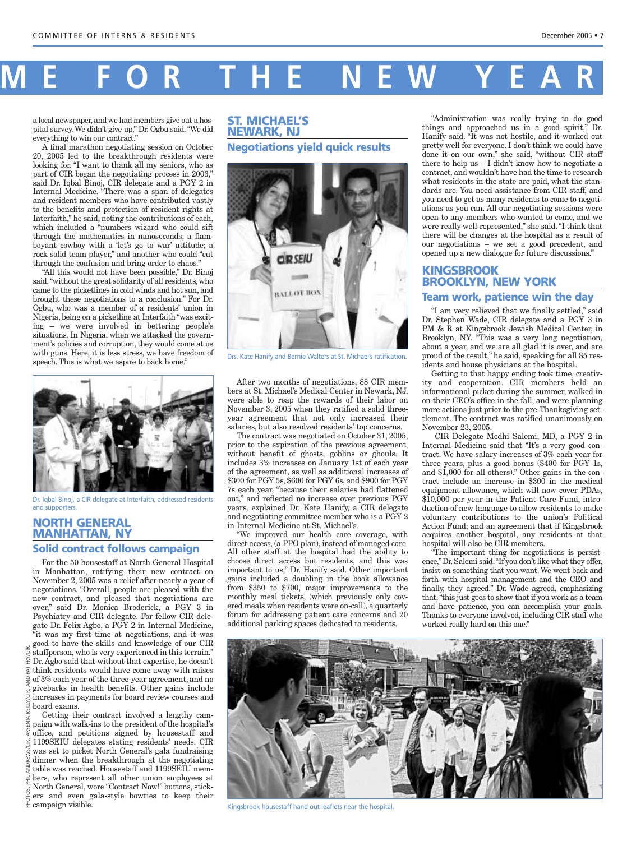# **M E FOR THE NEW YEAR**

a local newspaper, and we had members give out a hospital survey. We didn't give up," Dr. Ogbu said. "We did everything to win our contract."

A final marathon negotiating session on October 20, 2005 led to the breakthrough residents were looking for. "I want to thank all my seniors, who as part of CIR began the negotiating process in 2003," said Dr. Iqbal Binoj, CIR delegate and a PGY 2 in Internal Medicine. "There was a span of delegates and resident members who have contributed vastly to the benefits and protection of resident rights at Interfaith," he said, noting the contributions of each, which included a "numbers wizard who could sift through the mathematics in nanoseconds; a flamboyant cowboy with a 'let's go to war' attitude; a rock-solid team player," and another who could "cut through the confusion and bring order to chaos."

"All this would not have been possible," Dr. Binoj said,"without the great solidarity of all residents, who came to the picketlines in cold winds and hot sun, and brought these negotiations to a conclusion." For Dr. Ogbu, who was a member of a residents' union in Nigeria, being on a picketline at Interfaith "was exciting – we were involved in bettering people's situations. In Nigeria, when we attacked the government's policies and corruption, they would come at us with guns. Here, it is less stress, we have freedom of with guns. Here, it is less stress, we have freedom of Drs. Kate Hanify and Bernie Walters at St. Michael's ratification. speech. This is what we aspire to back home."



Dr. Iqbal Binoj, a CIR delegate at Interfaith, addressed residents and supporters.

## **NORTH GENERAL MANHATTAN, NY**

### **Solid contract follows campaign**

For the 50 housestaff at North General Hospital in Manhattan, ratifying their new contract on November 2, 2005 was a relief after nearly a year of negotiations. "Overall, people are pleased with the new contract, and pleased that negotiations are over," said Dr. Monica Broderick, a PGY 3 in Psychiatry and CIR delegate. For fellow CIR delegate Dr. Felix Agbo, a PGY 2 in Internal Medicine,

"it was my first time at negotiations, and it was good to have the skills and knowledge of our CIR staffperson, who is very experienced in this terrain." Dr. Agbo said that without that expertise, he doesn't  $\frac{1}{6}$  think residents would have come away with raises  $\exists$  of 3% each year of the three-year agreement, and no givebacks in health benefits. Other gains include increases in payments for board review courses and board exams.

Getting their contract involved a lengthy campaign with walk-ins to the president of the hospital's office, and petitions signed by housestaff and  $\leq$  1199SEIU delegates stating residents' needs. CIR was set to picket North General's gala fundraising dinner when the breakthrough at the negotiating table was reached. Housestaff and 1199SEIU members, who represent all other union employees at North General, wore "Contract Now!" buttons, stickers and even gala-style bowties to keep their

### **ST. MICHAEL'S NEWARK, NJ Negotiations yield quick results**



After two months of negotiations, 88 CIR members at St. Michael's Medical Center in Newark, NJ, were able to reap the rewards of their labor on November 3, 2005 when they ratified a solid threeyear agreement that not only increased their salaries, but also resolved residents' top concerns.

The contract was negotiated on October 31, 2005, prior to the expiration of the previous agreement, without benefit of ghosts, goblins or ghouls. It includes 3% increases on January 1st of each year of the agreement, as well as additional increases of \$300 for PGY 5s, \$600 for PGY 6s, and \$900 for PGY 7s each year, "because their salaries had flattened out," and reflected no increase over previous PGY years, explained Dr. Kate Hanify, a CIR delegate and negotiating committee member who is a PGY 2 in Internal Medicine at St. Michael's.

"We improved our health care coverage, with direct access, (a PPO plan), instead of managed care. All other staff at the hospital had the ability to choose direct access but residents, and this was important to us," Dr. Hanify said. Other important gains included a doubling in the book allowance from \$350 to \$700, major improvements to the monthly meal tickets, (which previously only covered meals when residents were on-call), a quarterly forum for addressing patient care concerns and 20 additional parking spaces dedicated to residents.

"Administration was really trying to do good things and approached us in a good spirit," Dr. Hanify said. "It was not hostile, and it worked out pretty well for everyone. I don't think we could have done it on our own," she said, "without CIR staff there to help us  $-$  I didn't know how to negotiate a contract, and wouldn't have had the time to research what residents in the state are paid, what the standards are. You need assistance from CIR staff, and you need to get as many residents to come to negotiations as you can. All our negotiating sessions were open to any members who wanted to come, and we were really well-represented," she said. "I think that there will be changes at the hospital as a result of our negotiations – we set a good precedent, and opened up a new dialogue for future discussions."

## **KINGSBROOK BROOKLYN, NEW YORK Team work, patience win the day**

"I am very relieved that we finally settled," said Dr. Stephen Wade, CIR delegate and a PGY 3 in PM & R at Kingsbrook Jewish Medical Center, in Brooklyn, NY. "This was a very long negotiation, about a year, and we are all glad it is over, and are

proud of the result," he said, speaking for all 85 residents and house physicians at the hospital. Getting to that happy ending took time, creativity and cooperation. CIR members held an informational picket during the summer, walked in on their CEO's office in the fall, and were planning

more actions just prior to the pre-Thanksgiving settlement. The contract was ratified unanimously on November 23, 2005.

CIR Delegate Medhi Salemi, MD, a PGY 2 in Internal Medicine said that "It's a very good contract. We have salary increases of 3% each year for three years, plus a good bonus (\$400 for PGY 1s, and \$1,000 for all others)." Other gains in the contract include an increase in \$300 in the medical equipment allowance, which will now cover PDAs, \$10,000 per year in the Patient Care Fund, introduction of new language to allow residents to make voluntary contributions to the union's Political Action Fund; and an agreement that if Kingsbrook acquires another hospital, any residents at that hospital will also be CIR members.

"The important thing for negotiations is persistence,"Dr.Salemi said."If you don't like what they offer, insist on something that you want. We went back and forth with hospital management and the CEO and finally, they agreed." Dr. Wade agreed, emphasizing that,"this just goes to show that if you work as a team and have patience, you can accomplish your goals. Thanks to everyone involved, including CIR staff who worked really hard on this one."



Kingsbrook housestaff hand out leaflets near the hospital.